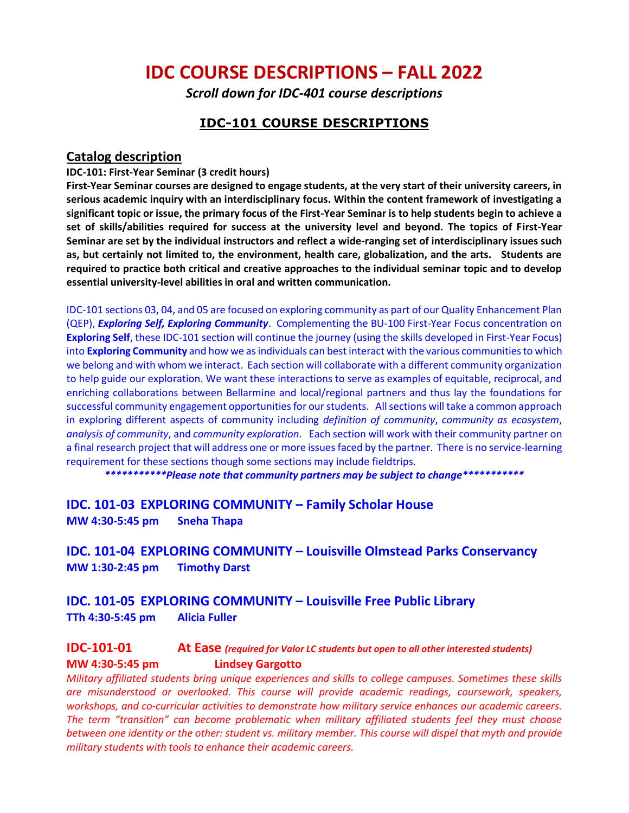# **IDC COURSE DESCRIPTIONS – FALL 2022**

*Scroll down for IDC-401 course descriptions*

### **IDC-101 COURSE DESCRIPTIONS**

### **Catalog description**

#### **IDC-101: First-Year Seminar (3 credit hours)**

**First-Year Seminar courses are designed to engage students, at the very start of their university careers, in serious academic inquiry with an interdisciplinary focus. Within the content framework of investigating a significant topic or issue, the primary focus of the First-Year Seminar is to help students begin to achieve a set of skills/abilities required for success at the university level and beyond. The topics of First-Year Seminar are set by the individual instructors and reflect a wide-ranging set of interdisciplinary issues such as, but certainly not limited to, the environment, health care, globalization, and the arts. Students are required to practice both critical and creative approaches to the individual seminar topic and to develop essential university-level abilities in oral and written communication.** 

IDC-101 sections 03, 04, and 05 are focused on exploring community as part of our Quality Enhancement Plan (QEP), *Exploring Self, Exploring Community*. Complementing the BU-100 First-Year Focus concentration on **Exploring Self**, these IDC-101 section will continue the journey (using the skills developed in First-Year Focus) into **Exploring Community** and how we as individuals can best interact with the various communities to which we belong and with whom we interact. Each section will collaborate with a different community organization to help guide our exploration. We want these interactions to serve as examples of equitable, reciprocal, and enriching collaborations between Bellarmine and local/regional partners and thus lay the foundations for successful community engagement opportunities for our students. All sections will take a common approach in exploring different aspects of community including *definition of community*, *community as ecosystem*, *analysis of community*, and *community exploration*. Each section will work with their community partner on a final research project that will address one or more issues faced by the partner. There is no service-learning requirement for these sections though some sections may include fieldtrips.

*\*\*\*\*\*\*\*\*\*\*\*Please note that community partners may be subject to change\*\*\*\*\*\*\*\*\*\*\**

**IDC. 101-03 EXPLORING COMMUNITY – Family Scholar House MW 4:30-5:45 pm Sneha Thapa**

**IDC. 101-04 EXPLORING COMMUNITY – Louisville Olmstead Parks Conservancy MW 1:30-2:45 pm Timothy Darst**

**IDC. 101-05 EXPLORING COMMUNITY – Louisville Free Public Library TTh 4:30-5:45 pm Alicia Fuller**

### **IDC-101-01 At Ease** *(required for Valor LC students but open to all other interested students)* **MW 4:30-5:45 pm Lindsey Gargotto**

*Military affiliated students bring unique experiences and skills to college campuses. Sometimes these skills are misunderstood or overlooked. This course will provide academic readings, coursework, speakers, workshops, and co-curricular activities to demonstrate how military service enhances our academic careers. The term "transition" can become problematic when military affiliated students feel they must choose between one identity or the other: student vs. military member. This course will dispel that myth and provide military students with tools to enhance their academic careers.*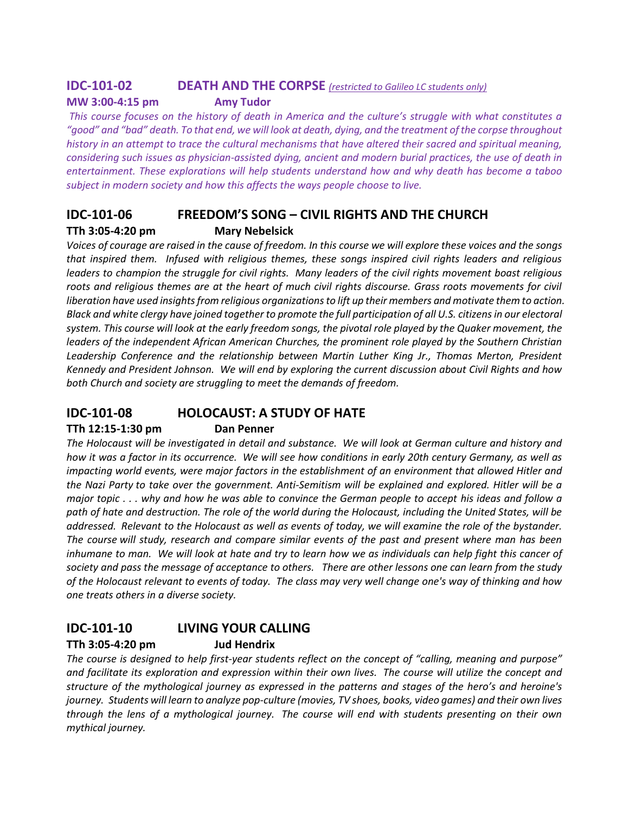### **IDC-101-02 DEATH AND THE CORPSE** *(restricted to Galileo LC students only)*

### **MW 3:00-4:15 pm Amy Tudor**

*This course focuses on the history of death in America and the culture's struggle with what constitutes a "good" and "bad" death. To that end, we will look at death, dying, and the treatment of the corpse throughout history in an attempt to trace the cultural mechanisms that have altered their sacred and spiritual meaning, considering such issues as physician-assisted dying, ancient and modern burial practices, the use of death in entertainment. These explorations will help students understand how and why death has become a taboo subject in modern society and how this affects the ways people choose to live.*

# **IDC-101-06 FREEDOM'S SONG – CIVIL RIGHTS AND THE CHURCH TTh 3:05-4:20 pm Mary Nebelsick**

*Voices of courage are raised in the cause of freedom. In this course we will explore these voices and the songs that inspired them. Infused with religious themes, these songs inspired civil rights leaders and religious leaders to champion the struggle for civil rights. Many leaders of the civil rights movement boast religious*  roots and religious themes are at the heart of much civil rights discourse. Grass roots movements for civil *liberation have used insights from religious organizations to lift up their members and motivate them to action. Black and white clergy have joined together to promote the full participation of all U.S. citizens in our electoral system. This course will look at the early freedom songs, the pivotal role played by the Quaker movement, the leaders of the independent African American Churches, the prominent role played by the Southern Christian*  Leadership Conference and the relationship between Martin Luther King Jr., Thomas Merton, President *Kennedy and President Johnson. We will end by exploring the current discussion about Civil Rights and how both Church and society are struggling to meet the demands of freedom.* 

# **IDC-101-08 HOLOCAUST: A STUDY OF HATE**

### **TTh 12:15-1:30 pm Dan Penner**

*The Holocaust will be investigated in detail and substance. We will look at German culture and history and how it was a factor in its occurrence. We will see how conditions in early 20th century Germany, as well as impacting world events, were major factors in the establishment of an environment that allowed Hitler and the Nazi Party to take over the government. Anti-Semitism will be explained and explored. Hitler will be a major topic . . . why and how he was able to convince the German people to accept his ideas and follow a path of hate and destruction. The role of the world during the Holocaust, including the United States, will be addressed. Relevant to the Holocaust as well as events of today, we will examine the role of the bystander. The course will study, research and compare similar events of the past and present where man has been inhumane to man. We will look at hate and try to learn how we as individuals can help fight this cancer of society and pass the message of acceptance to others. There are other lessons one can learn from the study of the Holocaust relevant to events of today. The class may very well change one's way of thinking and how one treats others in a diverse society.*

# **IDC-101-10 LIVING YOUR CALLING**

### **TTh 3:05-4:20 pm Jud Hendrix**

*The course is designed to help first-year students reflect on the concept of "calling, meaning and purpose" and facilitate its exploration and expression within their own lives. The course will utilize the concept and structure of the mythological journey as expressed in the patterns and stages of the hero's and heroine's journey. Students will learn to analyze pop-culture (movies, TV shoes, books, video games) and their own lives through the lens of a mythological journey. The course will end with students presenting on their own mythical journey.*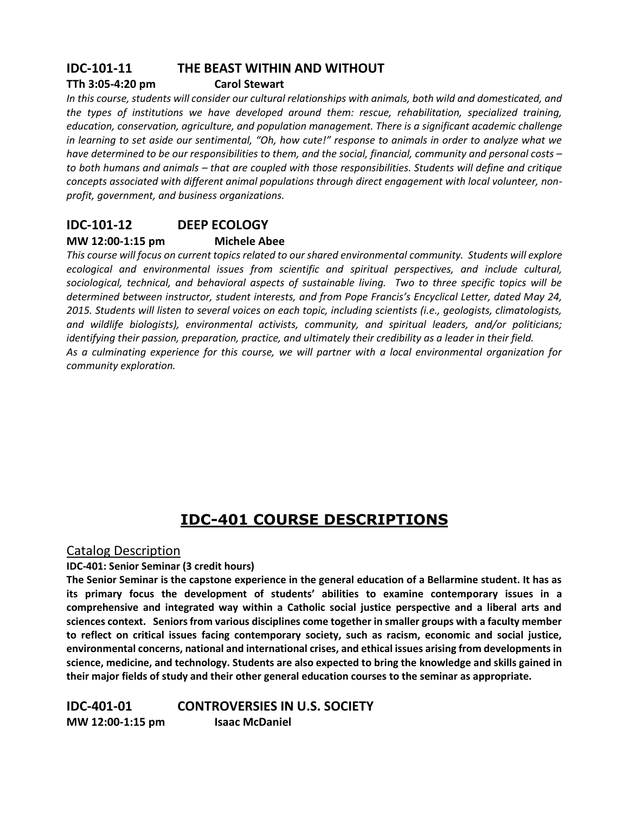# **IDC-101-11 THE BEAST WITHIN AND WITHOUT**

### **TTh 3:05-4:20 pm Carol Stewart**

*In this course, students will consider our cultural relationships with animals, both wild and domesticated, and the types of institutions we have developed around them: rescue, rehabilitation, specialized training, education, conservation, agriculture, and population management. There is a significant academic challenge in learning to set aside our sentimental, "Oh, how cute!" response to animals in order to analyze what we have determined to be our responsibilities to them, and the social, financial, community and personal costs – to both humans and animals – that are coupled with those responsibilities. Students will define and critique concepts associated with different animal populations through direct engagement with local volunteer, nonprofit, government, and business organizations.*

# **IDC-101-12 DEEP ECOLOGY**

### **MW 12:00-1:15 pm Michele Abee**

*This course will focus on current topics related to our shared environmental community. Students will explore ecological and environmental issues from scientific and spiritual perspectives, and include cultural, sociological, technical, and behavioral aspects of sustainable living. Two to three specific topics will be determined between instructor, student interests, and from Pope Francis's Encyclical Letter, dated May 24, 2015. Students will listen to several voices on each topic, including scientists (i.e., geologists, climatologists, and wildlife biologists), environmental activists, community, and spiritual leaders, and/or politicians; identifying their passion, preparation, practice, and ultimately their credibility as a leader in their field. As a culminating experience for this course, we will partner with a local environmental organization for community exploration.* 

# **IDC-401 COURSE DESCRIPTIONS**

### Catalog Description

**IDC-401: Senior Seminar (3 credit hours)**

**The Senior Seminar is the capstone experience in the general education of a Bellarmine student. It has as its primary focus the development of students' abilities to examine contemporary issues in a comprehensive and integrated way within a Catholic social justice perspective and a liberal arts and sciences context. Seniors from various disciplines come together in smaller groups with a faculty member to reflect on critical issues facing contemporary society, such as racism, economic and social justice, environmental concerns, national and international crises, and ethical issues arising from developments in science, medicine, and technology. Students are also expected to bring the knowledge and skills gained in their major fields of study and their other general education courses to the seminar as appropriate.** 

**IDC-401-01 CONTROVERSIES IN U.S. SOCIETY MW 12:00-1:15 pm Isaac McDaniel**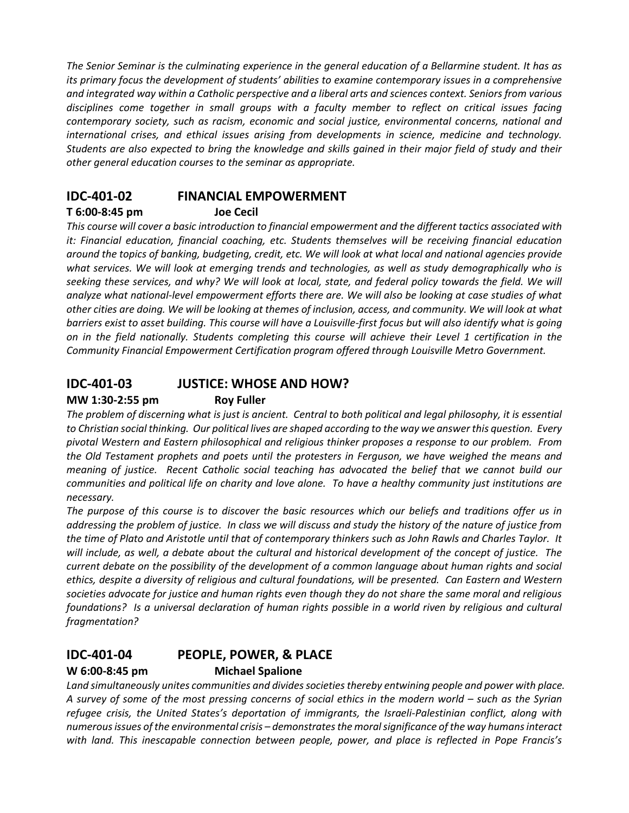*The Senior Seminar is the culminating experience in the general education of a Bellarmine student. It has as its primary focus the development of students' abilities to examine contemporary issues in a comprehensive and integrated way within a Catholic perspective and a liberal arts and sciences context. Seniors from various disciplines come together in small groups with a faculty member to reflect on critical issues facing contemporary society, such as racism, economic and social justice, environmental concerns, national and international crises, and ethical issues arising from developments in science, medicine and technology. Students are also expected to bring the knowledge and skills gained in their major field of study and their other general education courses to the seminar as appropriate.*

# **IDC-401-02 FINANCIAL EMPOWERMENT**

### **T 6:00-8:45 pm Joe Cecil**

*This course will cover a basic introduction to financial empowerment and the different tactics associated with it: Financial education, financial coaching, etc. Students themselves will be receiving financial education around the topics of banking, budgeting, credit, etc. We will look at what local and national agencies provide what services. We will look at emerging trends and technologies, as well as study demographically who is*  seeking these services, and why? We will look at local, state, and federal policy towards the field. We will *analyze what national-level empowerment efforts there are. We will also be looking at case studies of what other cities are doing. We will be looking at themes of inclusion, access, and community. We will look at what barriers exist to asset building. This course will have a Louisville-first focus but will also identify what is going on in the field nationally. Students completing this course will achieve their Level 1 certification in the Community Financial Empowerment Certification program offered through Louisville Metro Government.* 

# **IDC-401-03 JUSTICE: WHOSE AND HOW?**

### **MW 1:30-2:55 pm Roy Fuller**

The problem of discerning what is just is ancient. Central to both political and legal philosophy, it is essential *to Christian social thinking. Our political lives are shaped according to the way we answer this question. Every pivotal Western and Eastern philosophical and religious thinker proposes a response to our problem. From the Old Testament prophets and poets until the protesters in Ferguson, we have weighed the means and meaning of justice. Recent Catholic social teaching has advocated the belief that we cannot build our communities and political life on charity and love alone. To have a healthy community just institutions are necessary.*

*The purpose of this course is to discover the basic resources which our beliefs and traditions offer us in addressing the problem of justice. In class we will discuss and study the history of the nature of justice from the time of Plato and Aristotle until that of contemporary thinkers such as John Rawls and Charles Taylor. It will include, as well, a debate about the cultural and historical development of the concept of justice. The current debate on the possibility of the development of a common language about human rights and social ethics, despite a diversity of religious and cultural foundations, will be presented. Can Eastern and Western societies advocate for justice and human rights even though they do not share the same moral and religious foundations? Is a universal declaration of human rights possible in a world riven by religious and cultural fragmentation?* 

# **IDC-401-04 PEOPLE, POWER, & PLACE**

### **W 6:00-8:45 pm Michael Spalione**

*Land simultaneously unites communities and divides societies thereby entwining people and power with place. A survey of some of the most pressing concerns of social ethics in the modern world – such as the Syrian refugee crisis, the United States's deportation of immigrants, the Israeli-Palestinian conflict, along with numerous issues of the environmental crisis – demonstrates the moral significance of the way humans interact with land. This inescapable connection between people, power, and place is reflected in Pope Francis's*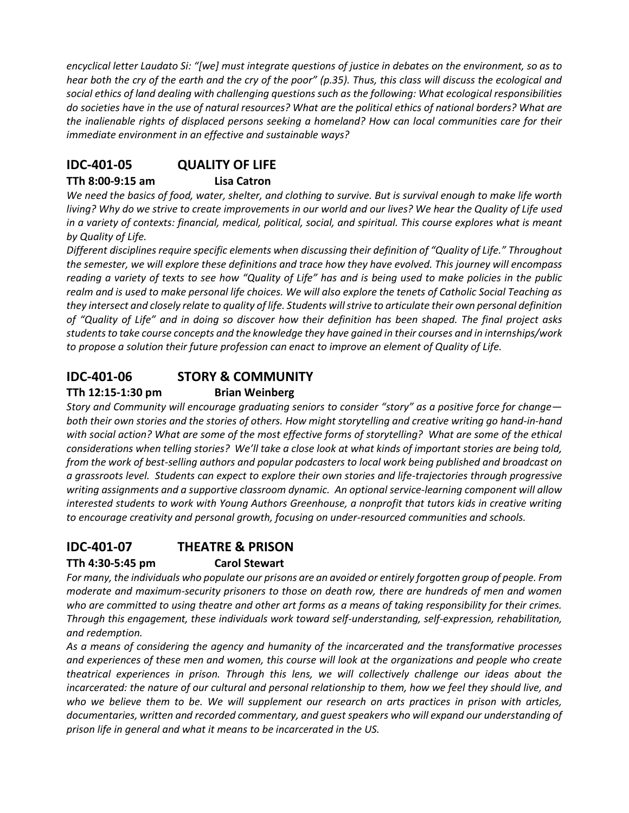*encyclical letter Laudato Si: "[we] must integrate questions of justice in debates on the environment, so as to hear both the cry of the earth and the cry of the poor" (p.35). Thus, this class will discuss the ecological and social ethics of land dealing with challenging questions such as the following: What ecological responsibilities do societies have in the use of natural resources? What are the political ethics of national borders? What are the inalienable rights of displaced persons seeking a homeland? How can local communities care for their immediate environment in an effective and sustainable ways?*

# **IDC-401-05 QUALITY OF LIFE**

### **TTh 8:00-9:15 am Lisa Catron**

*We need the basics of food, water, shelter, and clothing to survive. But is survival enough to make life worth living? Why do we strive to create improvements in our world and our lives? We hear the Quality of Life used in a variety of contexts: financial, medical, political, social, and spiritual. This course explores what is meant by Quality of Life.*

*Different disciplines require specific elements when discussing their definition of "Quality of Life." Throughout the semester, we will explore these definitions and trace how they have evolved. This journey will encompass reading a variety of texts to see how "Quality of Life" has and is being used to make policies in the public realm and is used to make personal life choices. We will also explore the tenets of Catholic Social Teaching as they intersect and closely relate to quality of life. Students will strive to articulate their own personal definition of "Quality of Life" and in doing so discover how their definition has been shaped. The final project asks students to take course concepts and the knowledge they have gained in their courses and in internships/work to propose a solution their future profession can enact to improve an element of Quality of Life.*

# **IDC-401-06 STORY & COMMUNITY**

### **TTh 12:15-1:30 pm Brian Weinberg**

*Story and Community will encourage graduating seniors to consider "story" as a positive force for change both their own stories and the stories of others. How might storytelling and creative writing go hand-in-hand with social action? What are some of the most effective forms of storytelling? What are some of the ethical considerations when telling stories? We'll take a close look at what kinds of important stories are being told, from the work of best-selling authors and popular podcasters to local work being published and broadcast on a grassroots level. Students can expect to explore their own stories and life-trajectories through progressive writing assignments and a supportive classroom dynamic. An optional service-learning component will allow interested students to work with Young Authors Greenhouse, a nonprofit that tutors kids in creative writing to encourage creativity and personal growth, focusing on under-resourced communities and schools.*

# **IDC-401-07 THEATRE & PRISON**

### **TTh 4:30-5:45 pm Carol Stewart**

*For many, the individuals who populate our prisons are an avoided or entirely forgotten group of people. From moderate and maximum-security prisoners to those on death row, there are hundreds of men and women who are committed to using theatre and other art forms as a means of taking responsibility for their crimes. Through this engagement, these individuals work toward self-understanding, self-expression, rehabilitation, and redemption.* 

*As a means of considering the agency and humanity of the incarcerated and the transformative processes and experiences of these men and women, this course will look at the organizations and people who create theatrical experiences in prison. Through this lens, we will collectively challenge our ideas about the incarcerated: the nature of our cultural and personal relationship to them, how we feel they should live, and who we believe them to be. We will supplement our research on arts practices in prison with articles, documentaries, written and recorded commentary, and guest speakers who will expand our understanding of prison life in general and what it means to be incarcerated in the US.*